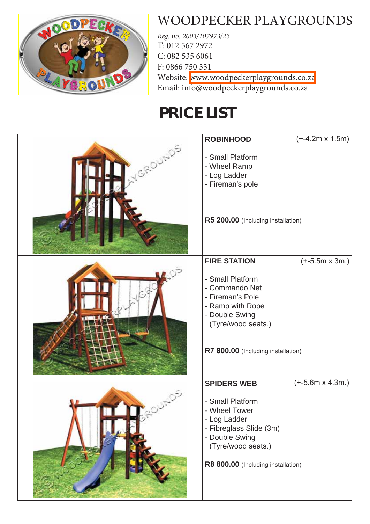

## [WOODPECKER PLAYGROUNDS](http://www.woodpeckerplaygrounds.co.za/)

*Reg. no. 2003/107973/23* T: 012 567 2972 C: 082 535 6061 F: 0866 750 331 Website: [www.woodpeckerplaygrounds.co.za](http://www.woodpeckerplaygrounds.co.za/) Email: info@woodpeckerplaygrounds.co.za

## **PRICE LIST**

|        | <b>ROBINHOOD</b>                                                                                                                                                | $(+4.2m \times 1.5m)$   |
|--------|-----------------------------------------------------------------------------------------------------------------------------------------------------------------|-------------------------|
| GROUND | - Small Platform<br>- Wheel Ramp<br>- Log Ladder<br>- Fireman's pole<br>R5 200.00 (Including installation)                                                      |                         |
|        | <b>FIRE STATION</b>                                                                                                                                             | $(+-5.5m \times 3m.)$   |
|        | - Small Platform<br>- Commando Net<br>- Fireman's Pole<br>- Ramp with Rope<br>- Double Swing<br>(Tyre/wood seats.)<br>R7 800.00 (Including installation)        |                         |
|        | <b>SPIDERS WEB</b>                                                                                                                                              | $(+-5.6m \times 4.3m.)$ |
|        | - Small Platform<br><b>Wheel Tower</b><br>- Log Ladder<br>- Fibreglass Slide (3m)<br>- Double Swing<br>(Tyre/wood seats.)<br>R8 800.00 (Including installation) |                         |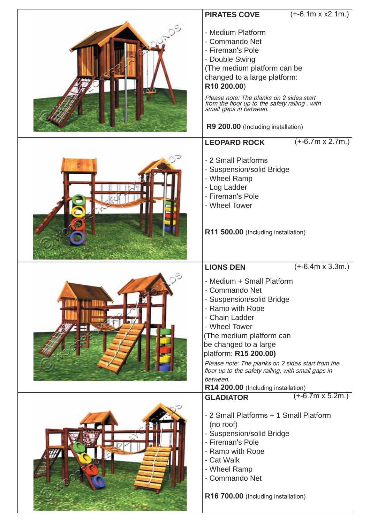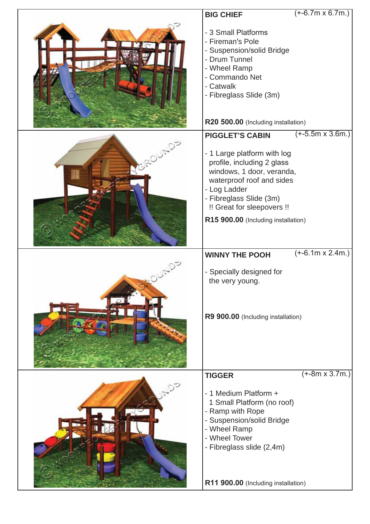| <b>BIG CHIEF</b>                                                                                                                                                                                                                    | $(+-6.7m \times 6.7m.)$                                      |
|-------------------------------------------------------------------------------------------------------------------------------------------------------------------------------------------------------------------------------------|--------------------------------------------------------------|
| - 3 Small Platforms<br>- Fireman's Pole<br>- Suspension/solid Bridge<br>- Drum Tunnel<br>- Wheel Ramp<br>- Commando Net<br>- Catwalk<br>- Fibreglass Slide (3m)<br>R20 500.00 (Including installation)                              |                                                              |
| <b>PIGGLET'S CABIN</b>                                                                                                                                                                                                              | $(+-5.5m \times 3.6m.)$                                      |
| - 1 Large platform with log<br>profile, including 2 glass<br>windows, 1 door, veranda,<br>waterproof roof and sides<br>- Log Ladder<br>- Fibreglass Slide (3m)<br>!! Great for sleepovers !!<br>R15 900.00 (Including installation) |                                                              |
|                                                                                                                                                                                                                                     | $\overline{(+6.1m} \times 2.4m.)$                            |
| - Specially designed for<br>the very young.                                                                                                                                                                                         |                                                              |
| R9 900.00 (Including installation)                                                                                                                                                                                                  |                                                              |
| <b>TIGGER</b>                                                                                                                                                                                                                       | $(+-8m \times 3.7m.)$                                        |
| - 1 Medium Platform +<br>1 Small Platform (no roof)<br>- Ramp with Rope<br>- Suspension/solid Bridge<br>- Wheel Ramp<br>- Wheel Tower<br>- Fibreglass slide (2,4m)                                                                  |                                                              |
|                                                                                                                                                                                                                                     | <b>WINNY THE POOH</b><br>R11 900.00 (Including installation) |